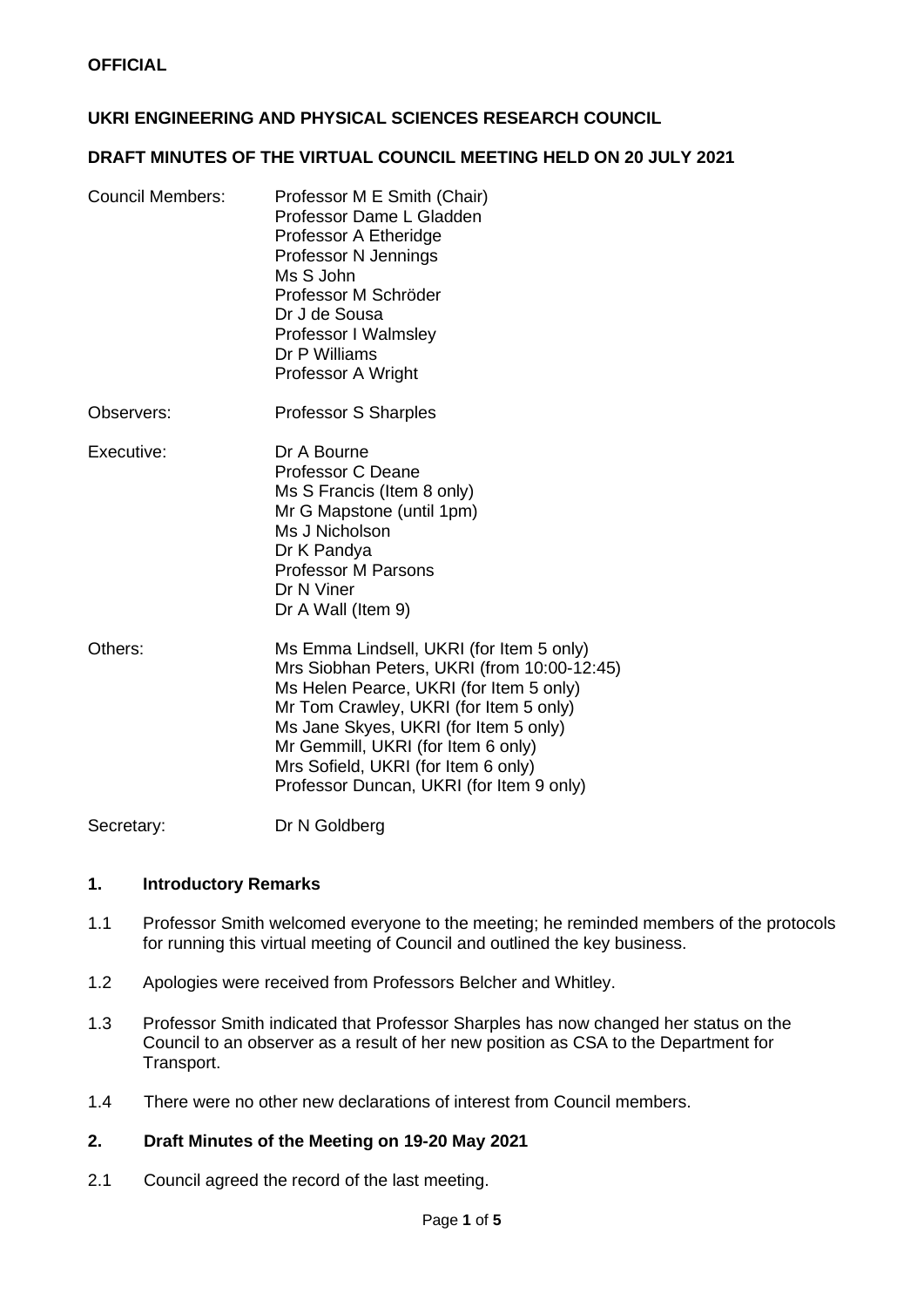# **UKRI ENGINEERING AND PHYSICAL SCIENCES RESEARCH COUNCIL**

#### **DRAFT MINUTES OF THE VIRTUAL COUNCIL MEETING HELD ON 20 JULY 2021**

- Council Members: Professor M E Smith (Chair) Professor Dame L Gladden Professor A Etheridge Professor N Jennings Ms S John Professor M Schröder Dr J de Sousa Professor I Walmsley Dr P Williams Professor A Wright
- Observers: Professor S Sharples

Executive: Dr A Bourne Professor C Deane Ms S Francis (Item 8 only) Mr G Mapstone (until 1pm) Ms J Nicholson Dr K Pandya Professor M Parsons Dr N Viner Dr A Wall (Item 9)

Others: Ms Emma Lindsell, UKRI (for Item 5 only) Mrs Siobhan Peters, UKRI (from 10:00-12:45) Ms Helen Pearce, UKRI (for Item 5 only) Mr Tom Crawley, UKRI (for Item 5 only) Ms Jane Skyes, UKRI (for Item 5 only) Mr Gemmill, UKRI (for Item 6 only) Mrs Sofield, UKRI (for Item 6 only) Professor Duncan, UKRI (for Item 9 only)

Secretary: Dr N Goldberg

### **1. Introductory Remarks**

- 1.1 Professor Smith welcomed everyone to the meeting; he reminded members of the protocols for running this virtual meeting of Council and outlined the key business.
- 1.2 Apologies were received from Professors Belcher and Whitley.
- 1.3 Professor Smith indicated that Professor Sharples has now changed her status on the Council to an observer as a result of her new position as CSA to the Department for Transport.
- 1.4 There were no other new declarations of interest from Council members.

### **2. Draft Minutes of the Meeting on 19-20 May 2021**

2.1 Council agreed the record of the last meeting.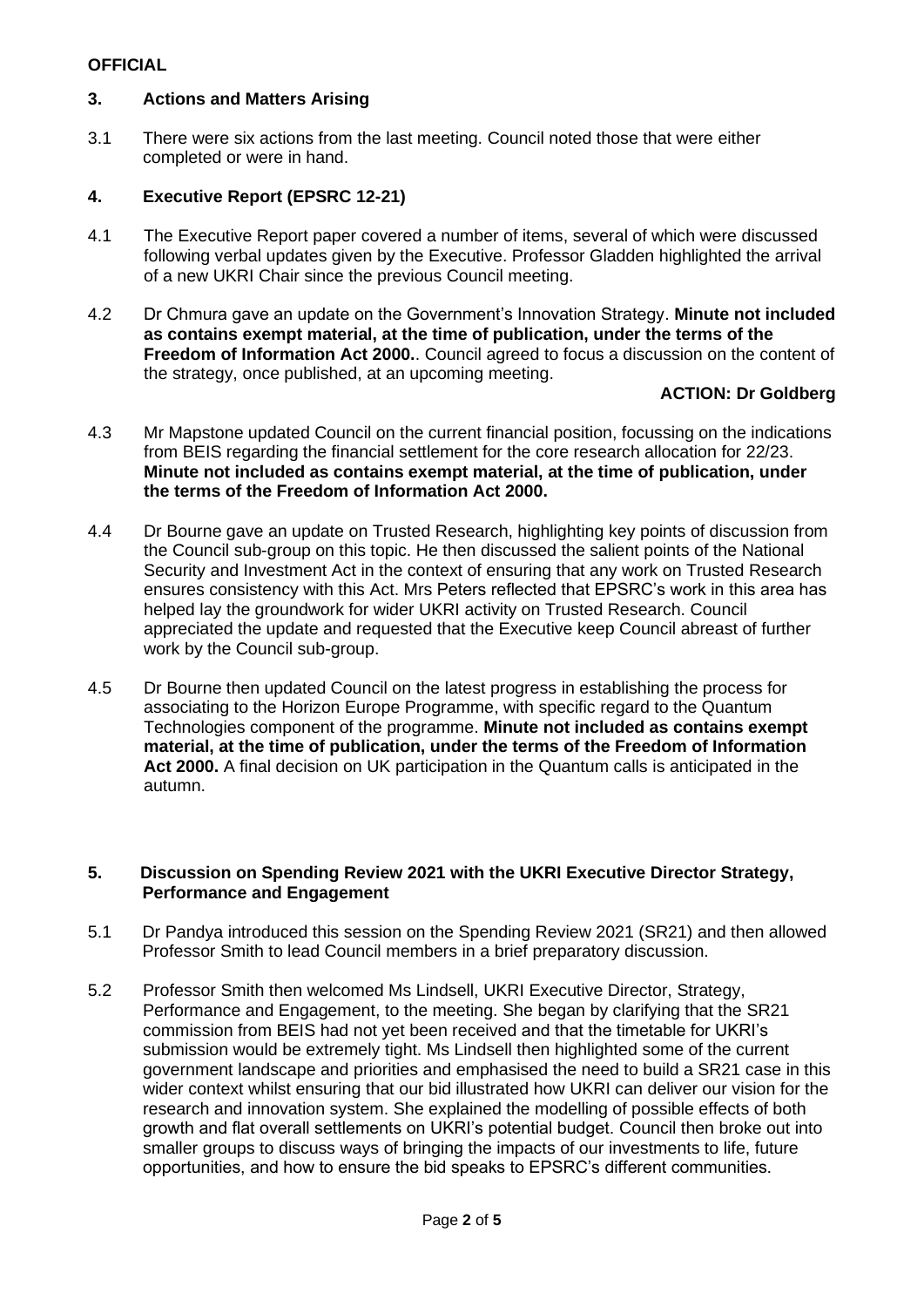# **3. Actions and Matters Arising**

3.1 There were six actions from the last meeting. Council noted those that were either completed or were in hand.

# **4. Executive Report (EPSRC 12-21)**

- 4.1 The Executive Report paper covered a number of items, several of which were discussed following verbal updates given by the Executive. Professor Gladden highlighted the arrival of a new UKRI Chair since the previous Council meeting.
- 4.2 Dr Chmura gave an update on the Government's Innovation Strategy. **Minute not included as contains exempt material, at the time of publication, under the terms of the Freedom of Information Act 2000.**. Council agreed to focus a discussion on the content of the strategy, once published, at an upcoming meeting.

### **ACTION: Dr Goldberg**

- 4.3 Mr Mapstone updated Council on the current financial position, focussing on the indications from BEIS regarding the financial settlement for the core research allocation for 22/23. **Minute not included as contains exempt material, at the time of publication, under the terms of the Freedom of Information Act 2000.**
- 4.4 Dr Bourne gave an update on Trusted Research, highlighting key points of discussion from the Council sub-group on this topic. He then discussed the salient points of the National Security and Investment Act in the context of ensuring that any work on Trusted Research ensures consistency with this Act. Mrs Peters reflected that EPSRC's work in this area has helped lay the groundwork for wider UKRI activity on Trusted Research. Council appreciated the update and requested that the Executive keep Council abreast of further work by the Council sub-group.
- 4.5 Dr Bourne then updated Council on the latest progress in establishing the process for associating to the Horizon Europe Programme, with specific regard to the Quantum Technologies component of the programme. **Minute not included as contains exempt material, at the time of publication, under the terms of the Freedom of Information Act 2000.** A final decision on UK participation in the Quantum calls is anticipated in the autumn.

#### **5. Discussion on Spending Review 2021 with the UKRI Executive Director Strategy, Performance and Engagement**

- 5.1 Dr Pandya introduced this session on the Spending Review 2021 (SR21) and then allowed Professor Smith to lead Council members in a brief preparatory discussion.
- 5.2 Professor Smith then welcomed Ms Lindsell, UKRI Executive Director, Strategy, Performance and Engagement, to the meeting. She began by clarifying that the SR21 commission from BEIS had not yet been received and that the timetable for UKRI's submission would be extremely tight. Ms Lindsell then highlighted some of the current government landscape and priorities and emphasised the need to build a SR21 case in this wider context whilst ensuring that our bid illustrated how UKRI can deliver our vision for the research and innovation system. She explained the modelling of possible effects of both growth and flat overall settlements on UKRI's potential budget. Council then broke out into smaller groups to discuss ways of bringing the impacts of our investments to life, future opportunities, and how to ensure the bid speaks to EPSRC's different communities.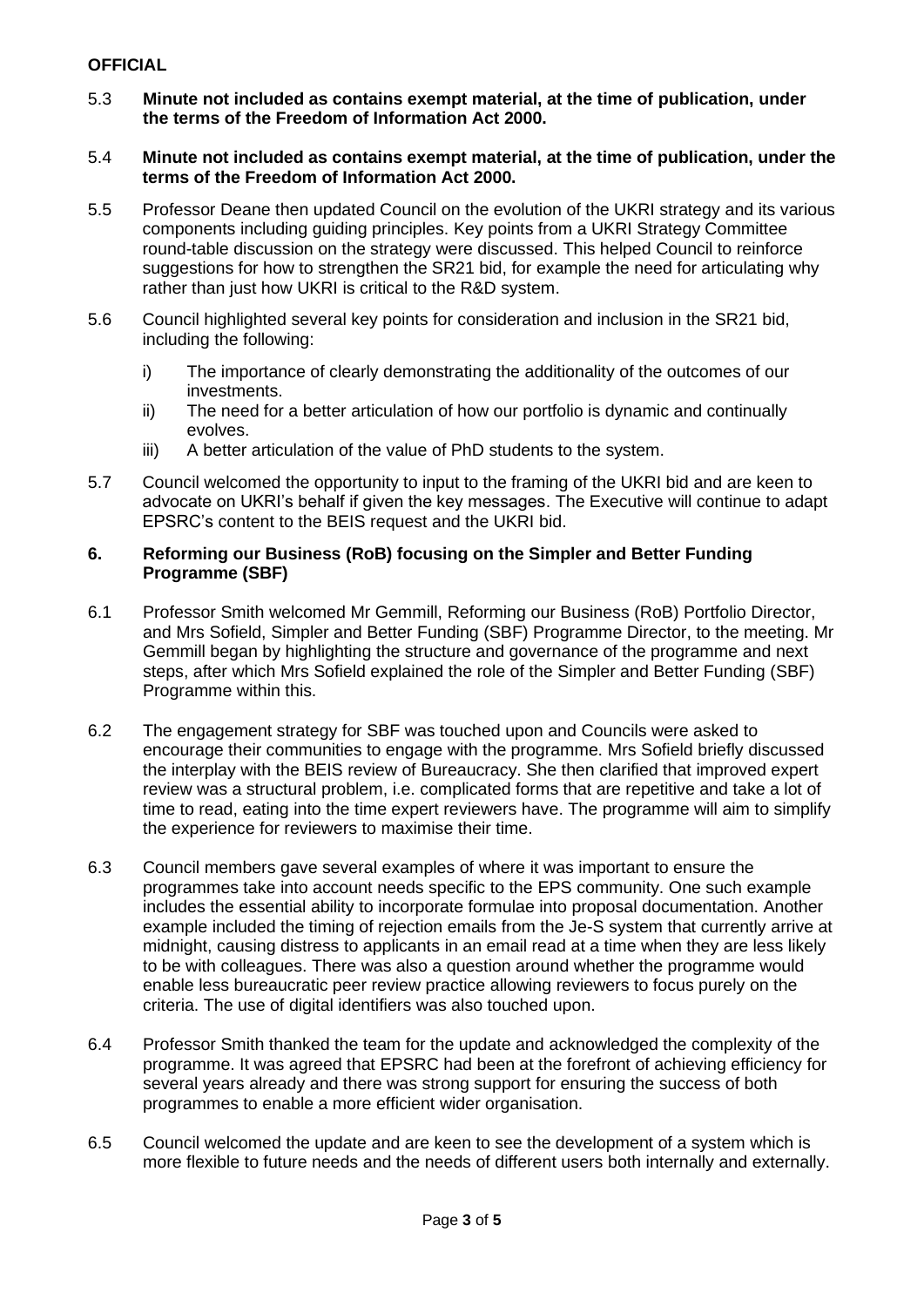- 5.3 **Minute not included as contains exempt material, at the time of publication, under the terms of the Freedom of Information Act 2000.**
- 5.4 **Minute not included as contains exempt material, at the time of publication, under the terms of the Freedom of Information Act 2000.**
- 5.5 Professor Deane then updated Council on the evolution of the UKRI strategy and its various components including guiding principles. Key points from a UKRI Strategy Committee round-table discussion on the strategy were discussed. This helped Council to reinforce suggestions for how to strengthen the SR21 bid, for example the need for articulating why rather than just how UKRI is critical to the R&D system.
- 5.6 Council highlighted several key points for consideration and inclusion in the SR21 bid, including the following:
	- i) The importance of clearly demonstrating the additionality of the outcomes of our investments.
	- ii) The need for a better articulation of how our portfolio is dynamic and continually evolves.
	- iii) A better articulation of the value of PhD students to the system.
- 5.7 Council welcomed the opportunity to input to the framing of the UKRI bid and are keen to advocate on UKRI's behalf if given the key messages. The Executive will continue to adapt EPSRC's content to the BEIS request and the UKRI bid.

#### **6. Reforming our Business (RoB) focusing on the Simpler and Better Funding Programme (SBF)**

- 6.1 Professor Smith welcomed Mr Gemmill, Reforming our Business (RoB) Portfolio Director, and Mrs Sofield, Simpler and Better Funding (SBF) Programme Director, to the meeting. Mr Gemmill began by highlighting the structure and governance of the programme and next steps, after which Mrs Sofield explained the role of the Simpler and Better Funding (SBF) Programme within this.
- 6.2 The engagement strategy for SBF was touched upon and Councils were asked to encourage their communities to engage with the programme. Mrs Sofield briefly discussed the interplay with the BEIS review of Bureaucracy. She then clarified that improved expert review was a structural problem, i.e. complicated forms that are repetitive and take a lot of time to read, eating into the time expert reviewers have. The programme will aim to simplify the experience for reviewers to maximise their time.
- 6.3 Council members gave several examples of where it was important to ensure the programmes take into account needs specific to the EPS community. One such example includes the essential ability to incorporate formulae into proposal documentation. Another example included the timing of rejection emails from the Je-S system that currently arrive at midnight, causing distress to applicants in an email read at a time when they are less likely to be with colleagues. There was also a question around whether the programme would enable less bureaucratic peer review practice allowing reviewers to focus purely on the criteria. The use of digital identifiers was also touched upon.
- 6.4 Professor Smith thanked the team for the update and acknowledged the complexity of the programme. It was agreed that EPSRC had been at the forefront of achieving efficiency for several years already and there was strong support for ensuring the success of both programmes to enable a more efficient wider organisation.
- 6.5 Council welcomed the update and are keen to see the development of a system which is more flexible to future needs and the needs of different users both internally and externally.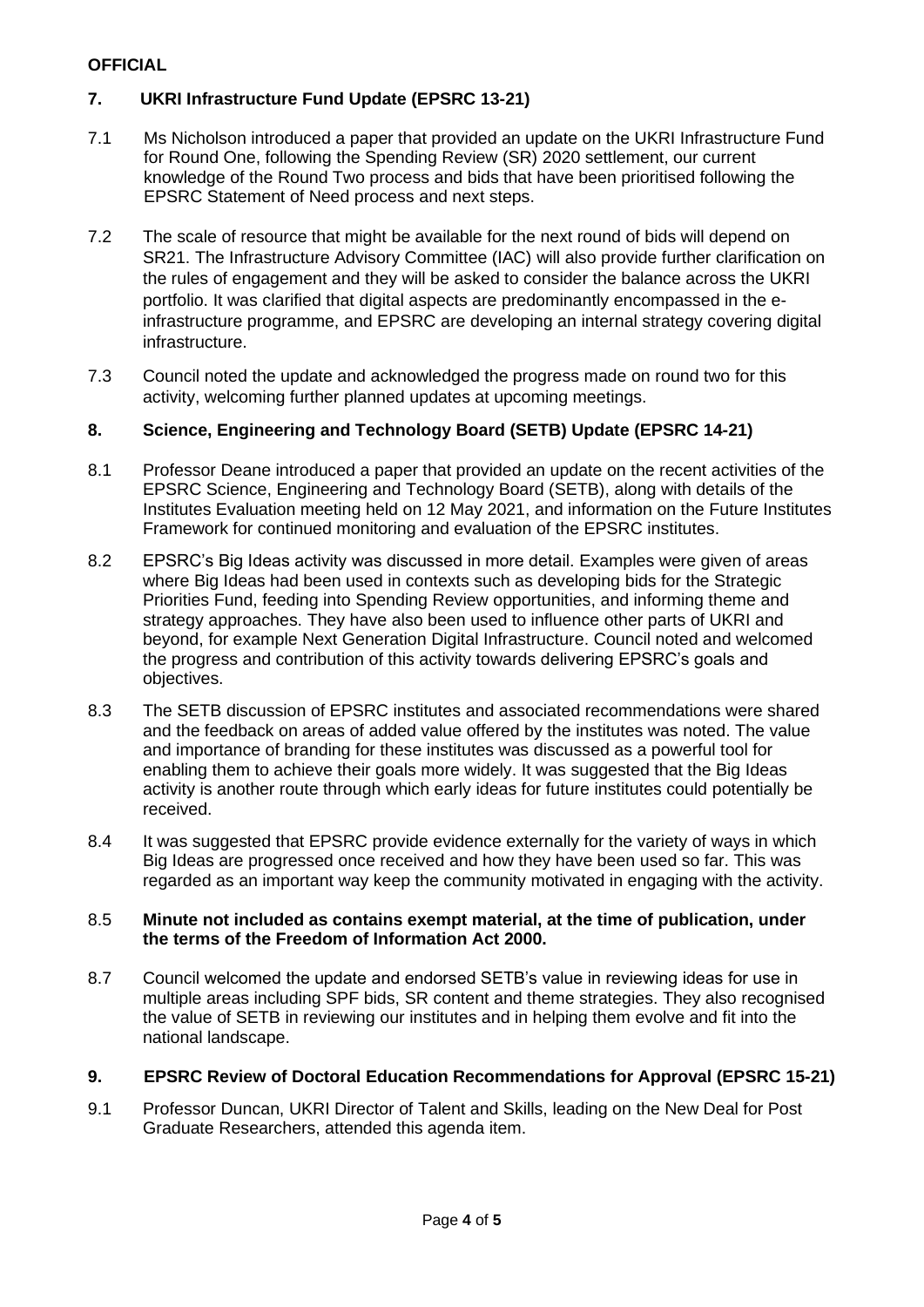# **7. UKRI Infrastructure Fund Update (EPSRC 13-21)**

- 7.1 Ms Nicholson introduced a paper that provided an update on the UKRI Infrastructure Fund for Round One, following the Spending Review (SR) 2020 settlement, our current knowledge of the Round Two process and bids that have been prioritised following the EPSRC Statement of Need process and next steps.
- 7.2 The scale of resource that might be available for the next round of bids will depend on SR21. The Infrastructure Advisory Committee (IAC) will also provide further clarification on the rules of engagement and they will be asked to consider the balance across the UKRI portfolio. It was clarified that digital aspects are predominantly encompassed in the einfrastructure programme, and EPSRC are developing an internal strategy covering digital infrastructure.
- 7.3 Council noted the update and acknowledged the progress made on round two for this activity, welcoming further planned updates at upcoming meetings.

# **8. Science, Engineering and Technology Board (SETB) Update (EPSRC 14-21)**

- 8.1 Professor Deane introduced a paper that provided an update on the recent activities of the EPSRC Science, Engineering and Technology Board (SETB), along with details of the Institutes Evaluation meeting held on 12 May 2021, and information on the Future Institutes Framework for continued monitoring and evaluation of the EPSRC institutes.
- 8.2 EPSRC's Big Ideas activity was discussed in more detail. Examples were given of areas where Big Ideas had been used in contexts such as developing bids for the Strategic Priorities Fund, feeding into Spending Review opportunities, and informing theme and strategy approaches. They have also been used to influence other parts of UKRI and beyond, for example Next Generation Digital Infrastructure. Council noted and welcomed the progress and contribution of this activity towards delivering EPSRC's goals and objectives.
- 8.3 The SETB discussion of EPSRC institutes and associated recommendations were shared and the feedback on areas of added value offered by the institutes was noted. The value and importance of branding for these institutes was discussed as a powerful tool for enabling them to achieve their goals more widely. It was suggested that the Big Ideas activity is another route through which early ideas for future institutes could potentially be received.
- 8.4 It was suggested that EPSRC provide evidence externally for the variety of ways in which Big Ideas are progressed once received and how they have been used so far. This was regarded as an important way keep the community motivated in engaging with the activity.

#### 8.5 **Minute not included as contains exempt material, at the time of publication, under the terms of the Freedom of Information Act 2000.**

8.7 Council welcomed the update and endorsed SETB's value in reviewing ideas for use in multiple areas including SPF bids, SR content and theme strategies. They also recognised the value of SETB in reviewing our institutes and in helping them evolve and fit into the national landscape.

# **9. EPSRC Review of Doctoral Education Recommendations for Approval (EPSRC 15-21)**

9.1 Professor Duncan, UKRI Director of Talent and Skills, leading on the New Deal for Post Graduate Researchers, attended this agenda item.